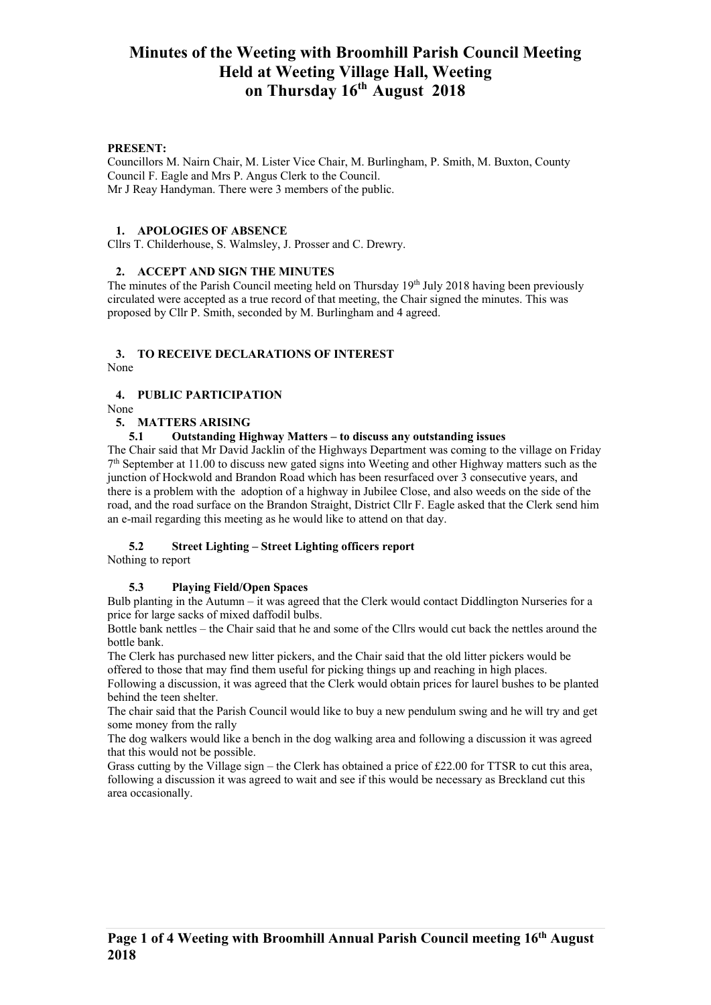#### **PRESENT:**

Councillors M. Nairn Chair, M. Lister Vice Chair, M. Burlingham, P. Smith, M. Buxton, County Council F. Eagle and Mrs P. Angus Clerk to the Council. Mr J Reay Handyman. There were 3 members of the public.

#### **1. APOLOGIES OF ABSENCE**

Cllrs T. Childerhouse, S. Walmsley, J. Prosser and C. Drewry.

#### **2. ACCEPT AND SIGN THE MINUTES**

The minutes of the Parish Council meeting held on Thursday  $19<sup>th</sup>$  July 2018 having been previously circulated were accepted as a true record of that meeting, the Chair signed the minutes. This was proposed by Cllr P. Smith, seconded by M. Burlingham and 4 agreed.

# **3. TO RECEIVE DECLARATIONS OF INTEREST**

None

## **4. PUBLIC PARTICIPATION**

None

#### **5. MATTERS ARISING**

**5.1 Outstanding Highway Matters – to discuss any outstanding issues**

The Chair said that Mr David Jacklin of the Highways Department was coming to the village on Friday 7th September at 11.00 to discuss new gated signs into Weeting and other Highway matters such as the junction of Hockwold and Brandon Road which has been resurfaced over 3 consecutive years, and there is a problem with the adoption of a highway in Jubilee Close, and also weeds on the side of the road, and the road surface on the Brandon Straight, District Cllr F. Eagle asked that the Clerk send him an e-mail regarding this meeting as he would like to attend on that day.

## **5.2 Street Lighting – Street Lighting officers report**

Nothing to report

## **5.3 Playing Field/Open Spaces**

Bulb planting in the Autumn – it was agreed that the Clerk would contact Diddlington Nurseries for a price for large sacks of mixed daffodil bulbs.

Bottle bank nettles – the Chair said that he and some of the Cllrs would cut back the nettles around the bottle bank.

The Clerk has purchased new litter pickers, and the Chair said that the old litter pickers would be offered to those that may find them useful for picking things up and reaching in high places.

Following a discussion, it was agreed that the Clerk would obtain prices for laurel bushes to be planted behind the teen shelter.

The chair said that the Parish Council would like to buy a new pendulum swing and he will try and get some money from the rally

The dog walkers would like a bench in the dog walking area and following a discussion it was agreed that this would not be possible.

Grass cutting by the Village sign – the Clerk has obtained a price of £22.00 for TTSR to cut this area, following a discussion it was agreed to wait and see if this would be necessary as Breckland cut this area occasionally.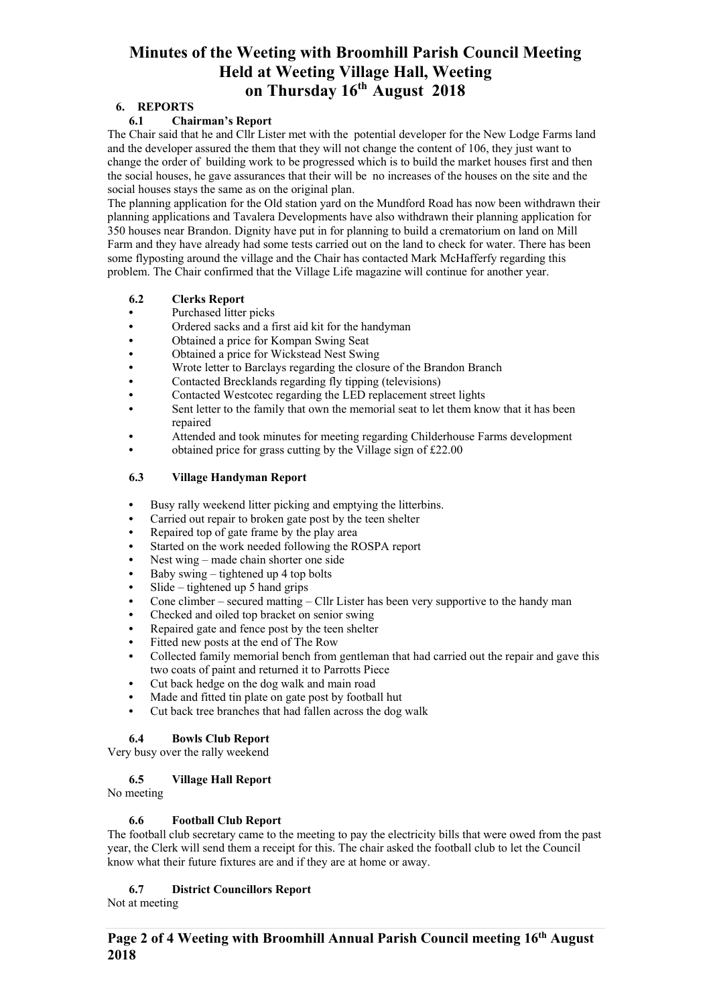# **6. REPORTS**

## **6.1 Chairman's Report**

The Chair said that he and Cllr Lister met with the potential developer for the New Lodge Farms land and the developer assured the them that they will not change the content of 106, they just want to change the order of building work to be progressed which is to build the market houses first and then the social houses, he gave assurances that their will be no increases of the houses on the site and the social houses stays the same as on the original plan.

The planning application for the Old station yard on the Mundford Road has now been withdrawn their planning applications and Tavalera Developments have also withdrawn their planning application for 350 houses near Brandon. Dignity have put in for planning to build a crematorium on land on Mill Farm and they have already had some tests carried out on the land to check for water. There has been some flyposting around the village and the Chair has contacted Mark McHafferfy regarding this problem. The Chair confirmed that the Village Life magazine will continue for another year.

#### **6.2 Clerks Report**

- **•** Purchased litter picks
- **•** Ordered sacks and a first aid kit for the handyman
- **•** Obtained a price for Kompan Swing Seat
- **•** Obtained a price for Wickstead Nest Swing
- **•** Wrote letter to Barclays regarding the closure of the Brandon Branch
- **•** Contacted Brecklands regarding fly tipping (televisions)
- **•** Contacted Westcotec regarding the LED replacement street lights
- **•** Sent letter to the family that own the memorial seat to let them know that it has been repaired
- **•** Attended and took minutes for meeting regarding Childerhouse Farms development
- obtained price for grass cutting by the Village sign of £22.00

# **6.3 Village Handyman Report**

- **•** Busy rally weekend litter picking and emptying the litterbins.
- **•** Carried out repair to broken gate post by the teen shelter
- **•** Repaired top of gate frame by the play area
- **•** Started on the work needed following the ROSPA report
- **•** Nest wing made chain shorter one side
- **•** Baby swing tightened up 4 top bolts
- **•** Slide tightened up 5 hand grips
- **•** Cone climber secured matting Cllr Lister has been very supportive to the handy man
- **•** Checked and oiled top bracket on senior swing
- **•** Repaired gate and fence post by the teen shelter
- **•** Fitted new posts at the end of The Row
- **•** Collected family memorial bench from gentleman that had carried out the repair and gave this two coats of paint and returned it to Parrotts Piece
- **•** Cut back hedge on the dog walk and main road
- **•** Made and fitted tin plate on gate post by football hut
- **•** Cut back tree branches that had fallen across the dog walk

## **6.4 Bowls Club Report**

Very busy over the rally weekend

## **6.5 Village Hall Report**

No meeting

## **6.6 Football Club Report**

The football club secretary came to the meeting to pay the electricity bills that were owed from the past year, the Clerk will send them a receipt for this. The chair asked the football club to let the Council know what their future fixtures are and if they are at home or away.

## **6.7 District Councillors Report**

Not at meeting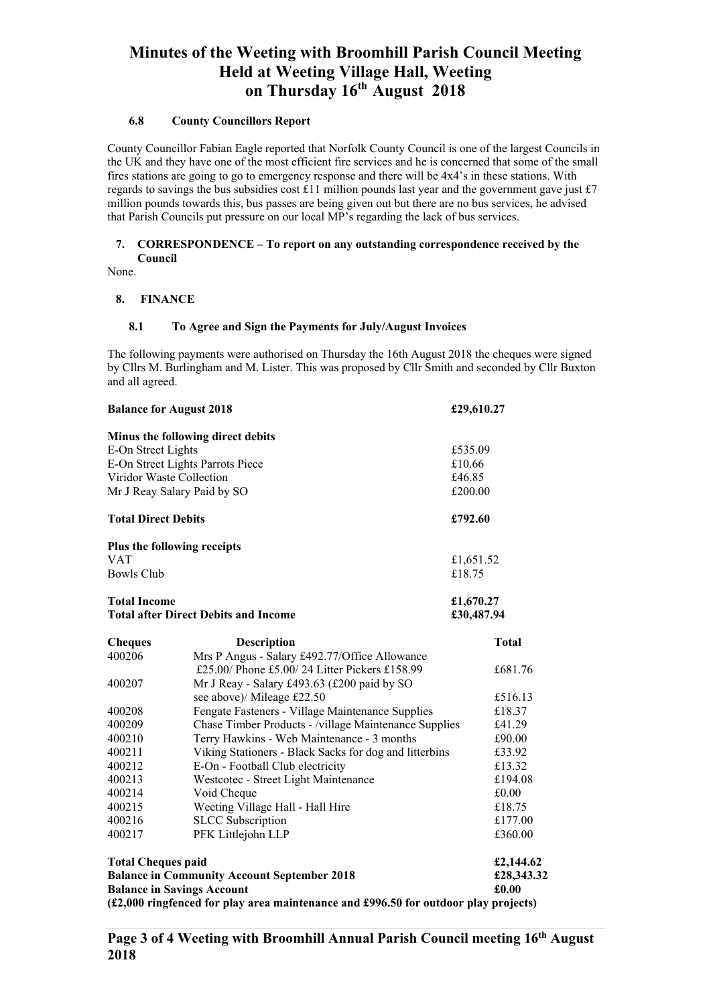#### **6.8 County Councillors Report**

County Councillor Fabian Eagle reported that Norfolk County Council is one of the largest Councils in the UK and they have one of the most efficient fire services and he is concerned that some of the small fires stations are going to go to emergency response and there will be 4x4's in these stations. With regards to savings the bus subsidies cost £11 million pounds last year and the government gave just £7 million pounds towards this, bus passes are being given out but there are no bus services, he advised that Parish Councils put pressure on our local MP's regarding the lack of bus services.

## **7. CORRESPONDENCE – To report on any outstanding correspondence received by the Council**

None.

# **8. FINANCE**

#### **8.1 To Agree and Sign the Payments for July/August Invoices**

The following payments were authorised on Thursday the 16th August 2018 the cheques were signed by Cllrs M. Burlingham and M. Lister. This was proposed by Cllr Smith and seconded by Cllr Buxton and all agreed.

| <b>Balance for August 2018</b>                                                                                                                                                                              |                                                        | £29,610.27                       |  |
|-------------------------------------------------------------------------------------------------------------------------------------------------------------------------------------------------------------|--------------------------------------------------------|----------------------------------|--|
|                                                                                                                                                                                                             | Minus the following direct debits                      |                                  |  |
| E-On Street Lights                                                                                                                                                                                          |                                                        | £535.09                          |  |
| E-On Street Lights Parrots Piece                                                                                                                                                                            |                                                        | £10.66                           |  |
| Viridor Waste Collection                                                                                                                                                                                    |                                                        | £46.85                           |  |
| Mr J Reay Salary Paid by SO                                                                                                                                                                                 |                                                        | £200.00                          |  |
| <b>Total Direct Debits</b>                                                                                                                                                                                  |                                                        | £792.60                          |  |
|                                                                                                                                                                                                             | Plus the following receipts                            |                                  |  |
| <b>VAT</b>                                                                                                                                                                                                  |                                                        | £1,651.52                        |  |
| <b>Bowls Club</b>                                                                                                                                                                                           |                                                        | £18.75                           |  |
| <b>Total Income</b>                                                                                                                                                                                         |                                                        | £1,670.27                        |  |
|                                                                                                                                                                                                             | <b>Total after Direct Debits and Income</b>            | £30,487.94                       |  |
| <b>Cheques</b>                                                                                                                                                                                              | <b>Description</b>                                     | <b>Total</b>                     |  |
| 400206                                                                                                                                                                                                      | Mrs P Angus - Salary £492.77/Office Allowance          |                                  |  |
|                                                                                                                                                                                                             | £25.00/ Phone £5.00/ 24 Litter Pickers £158.99         | £681.76                          |  |
| 400207                                                                                                                                                                                                      | Mr J Reay - Salary £493.63 (£200 paid by SO            |                                  |  |
|                                                                                                                                                                                                             | see above)/ Mileage £22.50                             | £516.13                          |  |
| 400208                                                                                                                                                                                                      | Fengate Fasteners - Village Maintenance Supplies       | £18.37                           |  |
| 400209                                                                                                                                                                                                      | Chase Timber Products - /village Maintenance Supplies  | £41.29                           |  |
| 400210                                                                                                                                                                                                      | Terry Hawkins - Web Maintenance - 3 months             | £90.00                           |  |
| 400211                                                                                                                                                                                                      | Viking Stationers - Black Sacks for dog and litterbins | £33.92                           |  |
| 400212                                                                                                                                                                                                      | E-On - Football Club electricity                       | £13.32                           |  |
| 400213                                                                                                                                                                                                      | Westcotec - Street Light Maintenance                   | £194.08                          |  |
| 400214                                                                                                                                                                                                      | Void Cheque                                            | £0.00                            |  |
| 400215                                                                                                                                                                                                      | Weeting Village Hall - Hall Hire                       | £18.75                           |  |
| 400216                                                                                                                                                                                                      | <b>SLCC</b> Subscription                               | £177.00                          |  |
| 400217                                                                                                                                                                                                      | PFK Littlejohn LLP                                     | £360.00                          |  |
| <b>Total Cheques paid</b><br><b>Balance in Community Account September 2018</b><br><b>Balance in Savings Account</b><br>(£2,000 ringfenced for play area maintenance and £996.50 for outdoor play projects) |                                                        | £2,144.62<br>£28,343.32<br>£0.00 |  |
|                                                                                                                                                                                                             |                                                        |                                  |  |